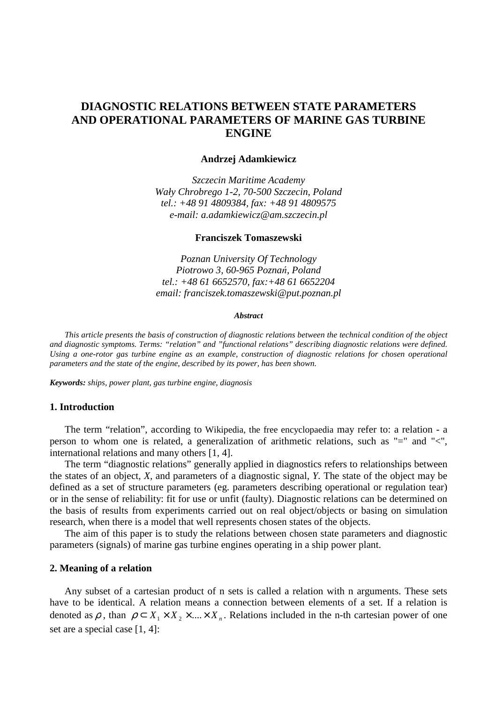# **DIAGNOSTIC RELATIONS BETWEEN STATE PARAMETERS AND OPERATIONAL PARAMETERS OF MARINE GAS TURBINE ENGINE**

### **Andrzej Adamkiewicz**

*Szczecin Maritime Academy Wały Chrobrego 1-2, 70-500 Szczecin, Poland tel.: +48 91 4809384, fax: +48 91 4809575 e-mail: a.adamkiewicz@am.szczecin.pl* 

### **Franciszek Tomaszewski**

*Poznan University Of Technology Piotrowo 3, 60-965 Pozna*ń*, Poland tel.: +48 61 6652570, fax:+48 61 6652204 email: franciszek.tomaszewski@put.poznan.pl* 

#### *Abstract*

 *This article presents the basis of construction of diagnostic relations between the technical condition of the object and diagnostic symptoms. Terms: "relation" and "functional relations" describing diagnostic relations were defined. Using a one-rotor gas turbine engine as an example, construction of diagnostic relations for chosen operational parameters and the state of the engine, described by its power, has been shown.* 

*Keywords: ships, power plant, gas turbine engine, diagnosis* 

### **1. Introduction**

 The term "relation", according to Wikipedia, the free encyclopaedia may refer to: a relation - a person to whom one is related, a generalization of arithmetic relations, such as "=" and "<", international relations and many others [1, 4].

 The term "diagnostic relations" generally applied in diagnostics refers to relationships between the states of an object, *X,* and parameters of a diagnostic signal, *Y.* The state of the object may be defined as a set of structure parameters (eg. parameters describing operational or regulation tear) or in the sense of reliability: fit for use or unfit (faulty). Diagnostic relations can be determined on the basis of results from experiments carried out on real object/objects or basing on simulation research, when there is a model that well represents chosen states of the objects.

 The aim of this paper is to study the relations between chosen state parameters and diagnostic parameters (signals) of marine gas turbine engines operating in a ship power plant.

#### **2. Meaning of a relation**

Any subset of a cartesian product of n sets is called a relation with n arguments. These sets have to be identical. A relation means a connection between elements of a set. If a relation is denoted as  $\rho$ , than  $\rho \subset X_1 \times X_2 \times ... \times X_n$ . Relations included in the n-th cartesian power of one set are a special case [1, 4]: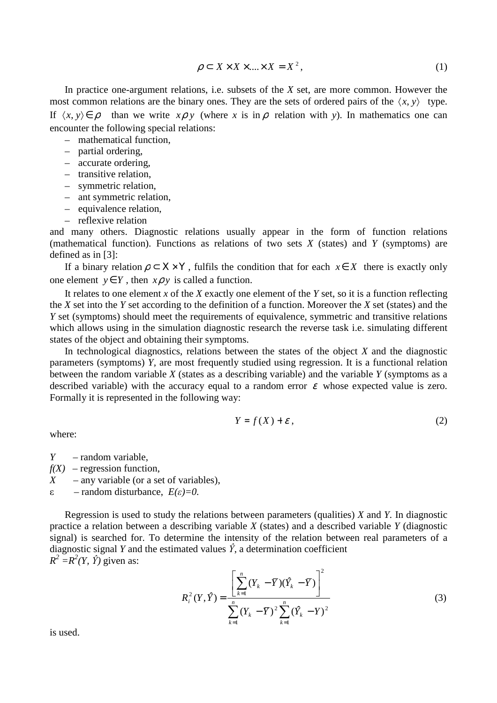$$
\rho \subset X \times X \times \dots \times X = X^2, \tag{1}
$$

 In practice one-argument relations, i.e. subsets of the *X* set, are more common. However the most common relations are the binary ones. They are the sets of ordered pairs of the  $\langle x, y \rangle$  type. If  $\langle x, y \rangle \in \rho$  than we write  $x \rho y$  (where *x* is in  $\rho$  relation with *y*). In mathematics one can encounter the following special relations:

- mathematical function,
- partial ordering,
- accurate ordering,
- transitive relation,
- symmetric relation,
- ant symmetric relation,
- equivalence relation,
- reflexive relation

and many others. Diagnostic relations usually appear in the form of function relations (mathematical function). Functions as relations of two sets *X* (states) and *Y* (symptoms) are defined as in [3]:

If a binary relation  $\rho \subset X \times Y$ , fulfils the condition that for each  $x \in X$  there is exactly only one element  $y \in Y$ , then  $x \rho y$  is called a function.

 It relates to one element *x* of the *X* exactly one element of the *Y* set, so it is a function reflecting the *X* set into the *Y* set according to the definition of a function. Moreover the *X* set (states) and the *Y* set (symptoms) should meet the requirements of equivalence, symmetric and transitive relations which allows using in the simulation diagnostic research the reverse task i.e. simulating different states of the object and obtaining their symptoms.

 In technological diagnostics, relations between the states of the object *X* and the diagnostic parameters (symptoms) *Y,* are most frequently studied using regression. It is a functional relation between the random variable *X* (states as a describing variable) and the variable *Y* (symptoms as a described variable) with the accuracy equal to a random error  $\varepsilon$  whose expected value is zero. Formally it is represented in the following way:

$$
Y = f(X) + \varepsilon \,,\tag{2}
$$

where:

*Y* – random variable,

 $f(X)$  – regression function,

*X* – any variable (or a set of variables),

ε – random disturbance, *E(*ε*)=0.* 

 Regression is used to study the relations between parameters (qualities) *X* and *Y.* In diagnostic practice a relation between a describing variable *X* (states) and a described variable *Y* (diagnostic signal) is searched for. To determine the intensity of the relation between real parameters of a diagnostic signal *Y* and the estimated values  $\hat{Y}$ , a determination coefficient  $R^2 = R^2(Y, \hat{Y})$  given as:

$$
R_i^2(Y,\hat{Y}) = \frac{\left[\sum_{k=1}^n (Y_k - \overline{Y})(\hat{Y}_k - \overline{Y})\right]^2}{\sum_{k=1}^n (Y_k - \overline{Y})^2 \sum_{k=1}^n (\hat{Y}_k - \overline{Y})^2}
$$
(3)

is used.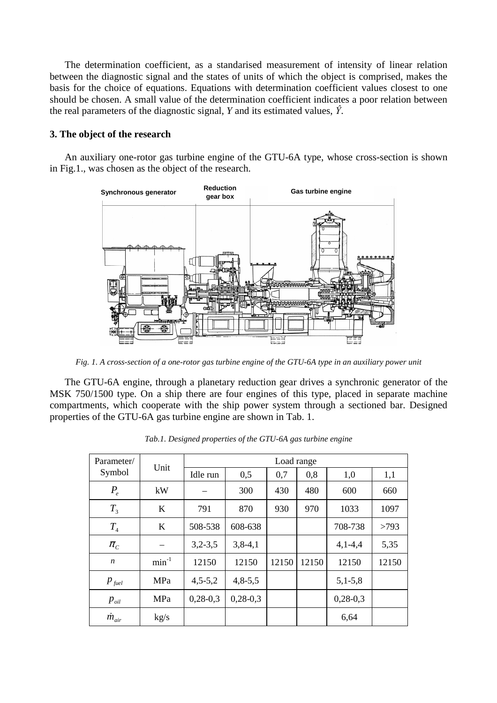The determination coefficient, as a standarised measurement of intensity of linear relation between the diagnostic signal and the states of units of which the object is comprised, makes the basis for the choice of equations. Equations with determination coefficient values closest to one should be chosen. A small value of the determination coefficient indicates a poor relation between the real parameters of the diagnostic signal,  $Y$  and its estimated values,  $\hat{Y}$ .

# **3. The object of the research**

 An auxiliary one-rotor gas turbine engine of the GTU-6A type, whose cross-section is shown in Fig.1., was chosen as the object of the research.



*Fig. 1. A cross-section of a one-rotor gas turbine engine of the GTU-6A type in an auxiliary power unit* 

 The GTU-6A engine, through a planetary reduction gear drives a synchronic generator of the MSK 750/1500 type. On a ship there are four engines of this type, placed in separate machine compartments, which cooperate with the ship power system through a sectioned bar. Designed properties of the GTU-6A gas turbine engine are shown in Tab. 1.

| Parameter/         | Unit       | Load range |            |       |       |            |       |
|--------------------|------------|------------|------------|-------|-------|------------|-------|
| Symbol             |            | Idle run   | 0,5        | 0,7   | 0,8   | 1,0        | 1,1   |
| $P_e$              | kW         |            | 300        | 430   | 480   | 600        | 660   |
| $T_{3}$            | K          | 791        | 870        | 930   | 970   | 1033       | 1097  |
| $T_{4}$            | K          | 508-538    | 608-638    |       |       | 708-738    | >793  |
| $\pi$ <sub>C</sub> |            | $3,2-3,5$  | $3,8-4,1$  |       |       | $4,1-4,4$  | 5,35  |
| $\boldsymbol{n}$   | $min^{-1}$ | 12150      | 12150      | 12150 | 12150 | 12150      | 12150 |
| $p_{\text{fuel}}$  | MPa        | $4,5-5,2$  | $4,8-5,5$  |       |       | $5,1-5,8$  |       |
| $p_{\mathit{oil}}$ | MPa        | $0,28-0,3$ | $0,28-0,3$ |       |       | $0,28-0,3$ |       |
| $\dot{m}_{air}$    | kg/s       |            |            |       |       | 6,64       |       |

*Tab.1. Designed properties of the GTU-6A gas turbine engine*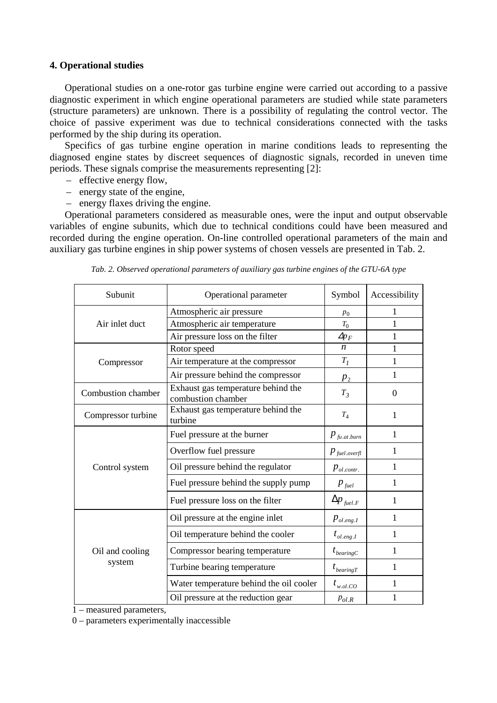# **4. Operational studies**

Operational studies on a one-rotor gas turbine engine were carried out according to a passive diagnostic experiment in which engine operational parameters are studied while state parameters (structure parameters) are unknown. There is a possibility of regulating the control vector. The choice of passive experiment was due to technical considerations connected with the tasks performed by the ship during its operation.

 Specifics of gas turbine engine operation in marine conditions leads to representing the diagnosed engine states by discreet sequences of diagnostic signals, recorded in uneven time periods. These signals comprise the measurements representing [2]:

- effective energy flow,
- energy state of the engine,
- energy flaxes driving the engine.

 Operational parameters considered as measurable ones, were the input and output observable variables of engine subunits, which due to technical conditions could have been measured and recorded during the engine operation. On-line controlled operational parameters of the main and auxiliary gas turbine engines in ship power systems of chosen vessels are presented in Tab. 2.

| Subunit            | Operational parameter                                    | Symbol                                   | Accessibility |
|--------------------|----------------------------------------------------------|------------------------------------------|---------------|
|                    | Atmospheric air pressure                                 | $p_0$                                    | 1             |
| Air inlet duct     | Atmospheric air temperature                              | $T_0$                                    | 1             |
|                    | Air pressure loss on the filter                          | $\Delta p_F$                             | 1             |
|                    | Rotor speed                                              | n                                        | 1             |
| Compressor         | Air temperature at the compressor                        | $T_I$                                    | 1             |
|                    | Air pressure behind the compressor                       | $p_{2}$                                  | 1             |
| Combustion chamber | Exhaust gas temperature behind the<br>combustion chamber |                                          | $\theta$      |
| Compressor turbine | Exhaust gas temperature behind the<br>turbine            |                                          | 1             |
|                    | Fuel pressure at the burner                              | $p_{\mathit{fu}.at.burn}$                | 1             |
|                    | Overflow fuel pressure                                   | $p_{\scriptscriptstyle\it fuel. overfl}$ | 1             |
| Control system     | Oil pressure behind the regulator                        | $p_{ol,contr.}$                          | 1             |
|                    | Fuel pressure behind the supply pump                     | $p_{\scriptscriptstyle\, \text{fuel}}$   | 1             |
|                    | Fuel pressure loss on the filter                         | $\Delta p_{\scriptscriptstyle\,field,F}$ | 1             |
|                    | Oil pressure at the engine inlet                         | $p_{\scriptscriptstyle ol.eng. I}$       | 1             |
|                    | Oil temperature behind the cooler                        | $t_{ol.eng. I}$                          | 1             |
| Oil and cooling    | Compressor bearing temperature                           | $t_{\text{bearing}C}$                    | 1             |
| system             | Turbine bearing temperature                              | $t_{\text{learningT}}$                   | 1             |
|                    | Water temperature behind the oil cooler                  | $t_{w.ol.CO}$                            | 1             |
|                    | Oil pressure at the reduction gear                       | $p_{ol,R}$                               | 1             |

*Tab. 2. Observed operational parameters of auxiliary gas turbine engines of the GTU-6A type* 

1 – measured parameters,

0 – parameters experimentally inaccessible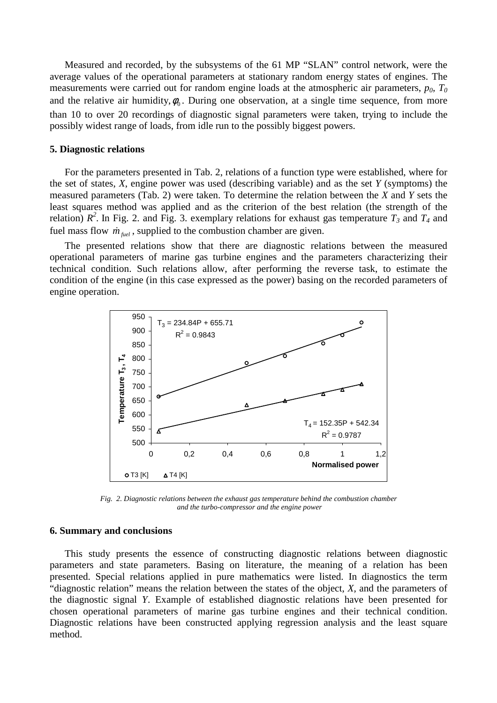Measured and recorded, by the subsystems of the 61 MP "SLAN" control network, were the average values of the operational parameters at stationary random energy states of engines. The measurements were carried out for random engine loads at the atmospheric air parameters,  $p_0$ ,  $T_0$ and the relative air humidity,  $\phi_0$ . During one observation, at a single time sequence, from more than 10 to over 20 recordings of diagnostic signal parameters were taken, trying to include the possibly widest range of loads, from idle run to the possibly biggest powers.

#### **5. Diagnostic relations**

 For the parameters presented in Tab. 2, relations of a function type were established, where for the set of states, *X*, engine power was used (describing variable) and as the set *Y* (symptoms) the measured parameters (Tab. 2) were taken. To determine the relation between the *X* and *Y* sets the least squares method was applied and as the criterion of the best relation (the strength of the relation)  $R^2$ . In Fig. 2. and Fig. 3. exemplary relations for exhaust gas temperature  $T_3$  and  $T_4$  and fuel mass flow  $\dot{m}_{\text{fuel}}$ , supplied to the combustion chamber are given.

 The presented relations show that there are diagnostic relations between the measured operational parameters of marine gas turbine engines and the parameters characterizing their technical condition. Such relations allow, after performing the reverse task, to estimate the condition of the engine (in this case expressed as the power) basing on the recorded parameters of engine operation.



*Fig. 2. Diagnostic relations between the exhaust gas temperature behind the combustion chamber and the turbo-compressor and the engine power* 

## **6. Summary and conclusions**

 This study presents the essence of constructing diagnostic relations between diagnostic parameters and state parameters. Basing on literature, the meaning of a relation has been presented. Special relations applied in pure mathematics were listed. In diagnostics the term "diagnostic relation" means the relation between the states of the object, *X*, and the parameters of the diagnostic signal *Y*. Example of established diagnostic relations have been presented for chosen operational parameters of marine gas turbine engines and their technical condition. Diagnostic relations have been constructed applying regression analysis and the least square method.